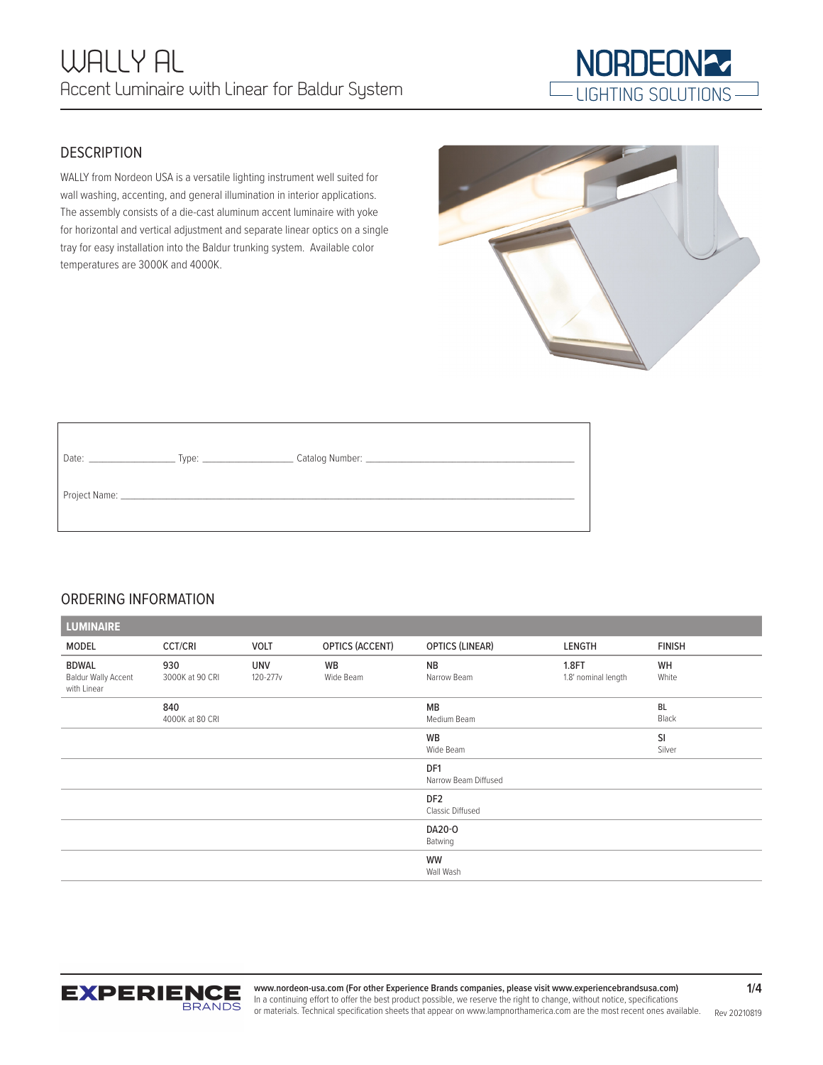

## **DESCRIPTION**

WALLY from Nordeon USA is a versatile lighting instrument well suited for wall washing, accenting, and general illumination in interior applications. The assembly consists of a die-cast aluminum accent luminaire with yoke for horizontal and vertical adjustment and separate linear optics on a single tray for easy installation into the Baldur trunking system. Available color temperatures are 3000K and 4000K.

# ORDERING INFORMATION

| <b>LUMINAIRE</b>                                          |                        |                        |                 |                                         |                                     |                    |  |
|-----------------------------------------------------------|------------------------|------------------------|-----------------|-----------------------------------------|-------------------------------------|--------------------|--|
| MODEL                                                     | <b>CCT/CRI</b>         | VOLT                   | OPTICS (ACCENT) | <b>OPTICS (LINEAR)</b>                  | LENGTH                              | <b>FINISH</b>      |  |
| <b>BDWAL</b><br><b>Baldur Wally Accent</b><br>with Linear | 930<br>3000K at 90 CRI | <b>UNV</b><br>120-277v | WB<br>Wide Beam | <b>NB</b><br>Narrow Beam                | <b>1.8FT</b><br>1.8' nominal length | WH<br>White        |  |
|                                                           | 840<br>4000K at 80 CRI |                        |                 | MB<br>Medium Beam                       |                                     | <b>BL</b><br>Black |  |
|                                                           |                        |                        |                 | WB<br>Wide Beam                         |                                     | SI<br>Silver       |  |
|                                                           |                        |                        |                 | DF <sub>1</sub><br>Narrow Beam Diffused |                                     |                    |  |
|                                                           |                        |                        |                 | DF <sub>2</sub><br>Classic Diffused     |                                     |                    |  |
|                                                           |                        |                        |                 | DA20-0<br>Batwing                       |                                     |                    |  |
|                                                           |                        |                        |                 | WW<br>Wall Wash                         |                                     |                    |  |



Rev 20210819 **www.nordeon-usa.com (For other Experience Brands companies, please visit www.experiencebrandsusa.com)** In a continuing effort to offer the best product possible, we reserve the right to change, without notice, specifications or materials. Technical specification sheets that appear on www.lampnorthamerica.com are the most recent ones available.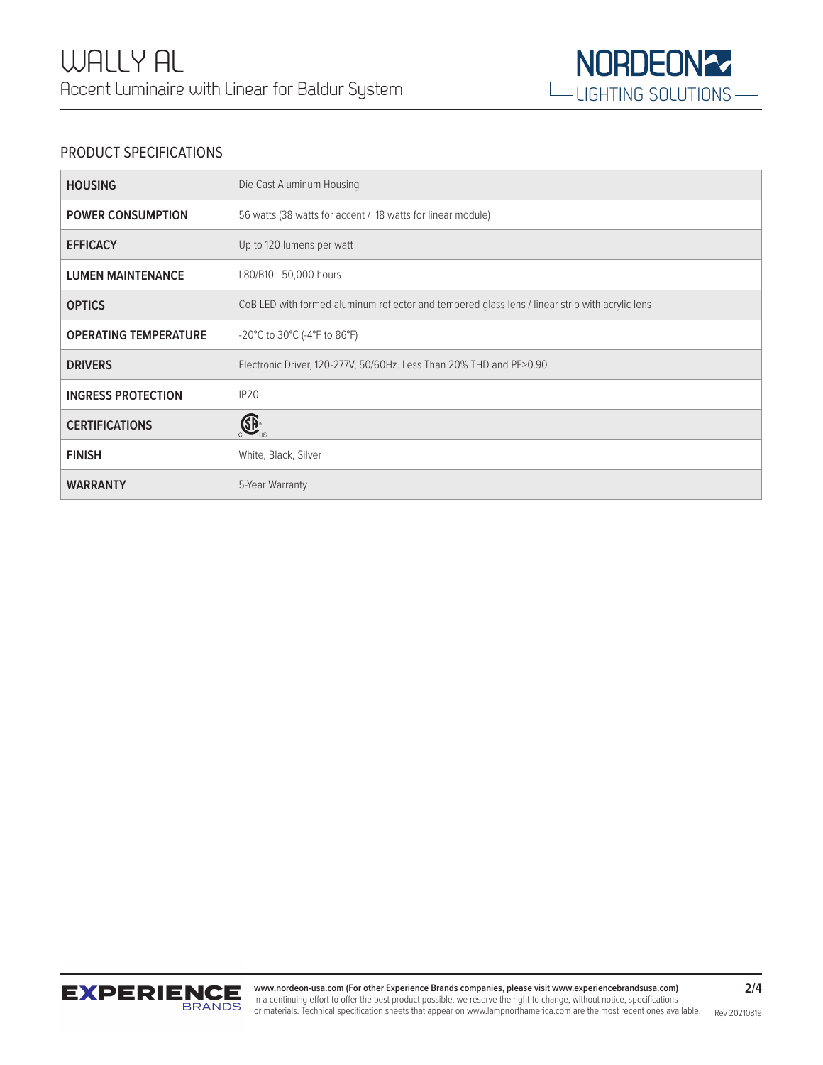

# PRODUCT SPECIFICATIONS

| <b>HOUSING</b>               | Die Cast Aluminum Housing                                                                       |
|------------------------------|-------------------------------------------------------------------------------------------------|
| <b>POWER CONSUMPTION</b>     | 56 watts (38 watts for accent / 18 watts for linear module)                                     |
| <b>EFFICACY</b>              | Up to 120 lumens per watt                                                                       |
| <b>LUMEN MAINTENANCE</b>     | L80/B10: 50,000 hours                                                                           |
| <b>OPTICS</b>                | CoB LED with formed aluminum reflector and tempered glass lens / linear strip with acrylic lens |
| <b>OPERATING TEMPERATURE</b> | $-20^{\circ}$ C to 30 $^{\circ}$ C (-4 $^{\circ}$ F to 86 $^{\circ}$ F)                         |
| <b>DRIVERS</b>               | Electronic Driver, 120-277V, 50/60Hz. Less Than 20% THD and PF>0.90                             |
| <b>INGRESS PROTECTION</b>    | IP <sub>20</sub>                                                                                |
| <b>CERTIFICATIONS</b>        | $\bigoplus_{\cup S}$                                                                            |
| <b>FINISH</b>                | White, Black, Silver                                                                            |
| <b>WARRANTY</b>              | 5-Year Warranty                                                                                 |

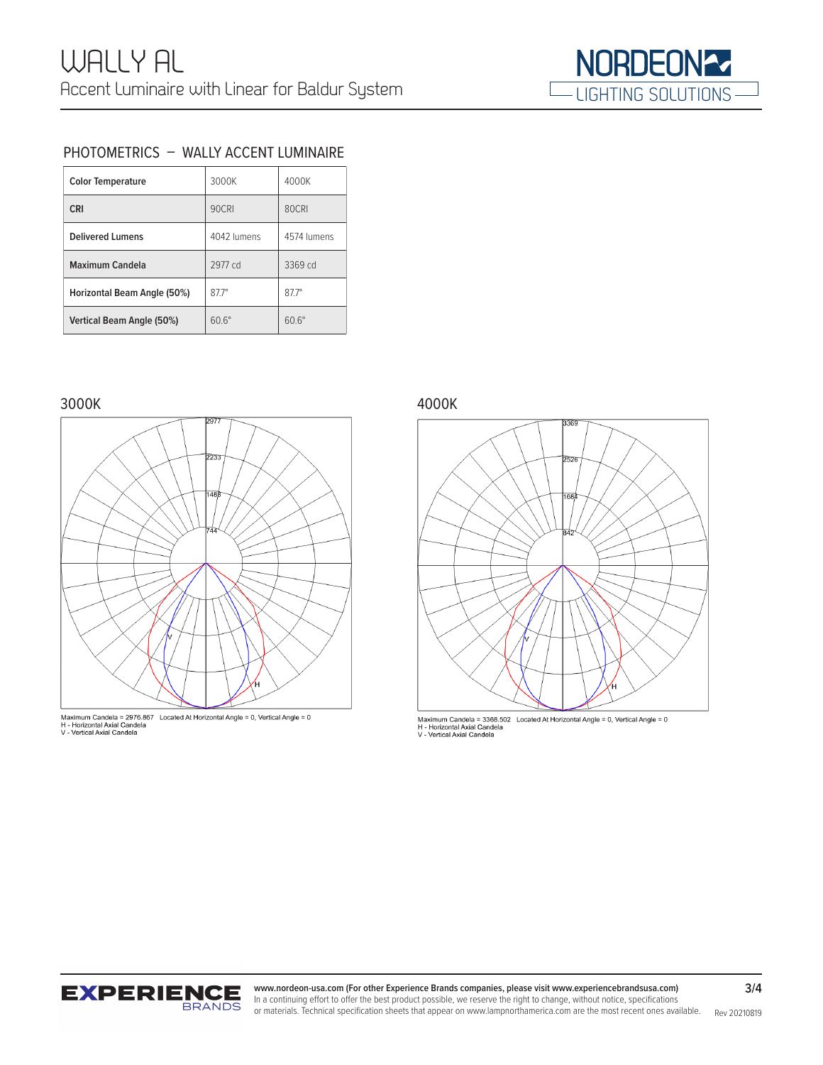

### PHOTOMETRICS – WALLY ACCENT LUMINAIRE

| <b>Color Temperature</b>    | 3000K        | 4000K        |
|-----------------------------|--------------|--------------|
| <b>CRI</b>                  | 90CRI        | 80CRI        |
| <b>Delivered Lumens</b>     | 4042 lumens  | 4574 lumens  |
| Maximum Candela             | 2977 cd      | 3369 cd      |
| Horizontal Beam Angle (50%) | $877^\circ$  | $877^\circ$  |
| Vertical Beam Angle (50%)   | $60.6^\circ$ | $60.6^\circ$ |

### 3000K 4000K





Maximum Candela = 3368.502 Located At Horizontal Angle = 0, Vertical Angle = 0<br>H - Horizontal Axial Candela<br>V - Vertical Axial Candela



or materials. Technical specification sheets that appear on www.lampnorthamerica.com are the most recent ones available. Rev 20210819 **www.nordeon-usa.com (For other Experience Brands companies, please visit www.experiencebrandsusa.com)** In a continuing effort to offer the best product possible, we reserve the right to change, without notice, specifications